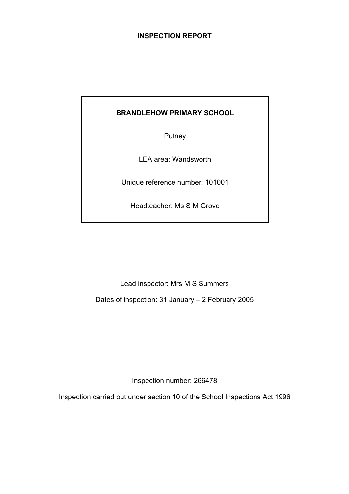# **INSPECTION REPORT**

# **BRANDLEHOW PRIMARY SCHOOL**

Putney

LEA area: Wandsworth

Unique reference number: 101001

Headteacher: Ms S M Grove

Lead inspector: Mrs M S Summers

Dates of inspection: 31 January – 2 February 2005

Inspection number: 266478

Inspection carried out under section 10 of the School Inspections Act 1996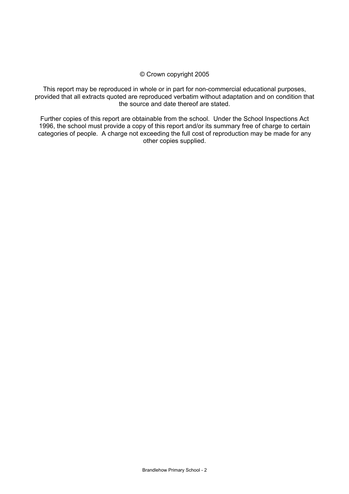#### © Crown copyright 2005

This report may be reproduced in whole or in part for non-commercial educational purposes, provided that all extracts quoted are reproduced verbatim without adaptation and on condition that the source and date thereof are stated.

Further copies of this report are obtainable from the school. Under the School Inspections Act 1996, the school must provide a copy of this report and/or its summary free of charge to certain categories of people. A charge not exceeding the full cost of reproduction may be made for any other copies supplied.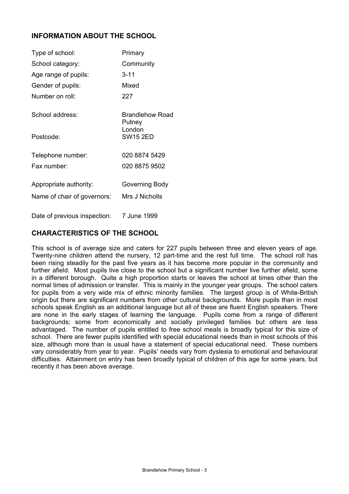# **INFORMATION ABOUT THE SCHOOL**

| Type of school:              | Primary                   |
|------------------------------|---------------------------|
| School category:             | Community                 |
| Age range of pupils:         | $3 - 11$                  |
| Gender of pupils:            | Mixed                     |
| Number on roll:              | 227                       |
| School address:              | Brandlehow Road<br>Putney |
| Postcode:                    | London<br><b>SW15 2ED</b> |
| Telephone number:            | 020 8874 5429             |
| Fax number:                  | 020 8875 9502             |
| Appropriate authority:       | Governing Body            |
| Name of chair of governors:  | Mrs J Nicholls            |
| Date of previous inspection: | 7 June 1999               |

## **CHARACTERISTICS OF THE SCHOOL**

This school is of average size and caters for 227 pupils between three and eleven years of age. Twenty-nine children attend the nursery, 12 part-time and the rest full time. The school roll has been rising steadily for the past five years as it has become more popular in the community and further afield. Most pupils live close to the school but a significant number live further afield, some in a different borough. Quite a high proportion starts or leaves the school at times other than the normal times of admission or transfer. This is mainly in the younger year groups. The school caters for pupils from a very wide mix of ethnic minority families. The largest group is of White-British origin but there are significant numbers from other cultural backgrounds. More pupils than in most schools speak English as an additional language but all of these are fluent English speakers. There are none in the early stages of learning the language. Pupils come from a range of different backgrounds; some from economically and socially privileged families but others are less advantaged. The number of pupils entitled to free school meals is broadly typical for this size of school. There are fewer pupils identified with special educational needs than in most schools of this size, although more than is usual have a statement of special educational need. These numbers vary considerably from year to year. Pupils' needs vary from dyslexia to emotional and behavioural difficulties. Attainment on entry has been broadly typical of children of this age for some years, but recently it has been above average.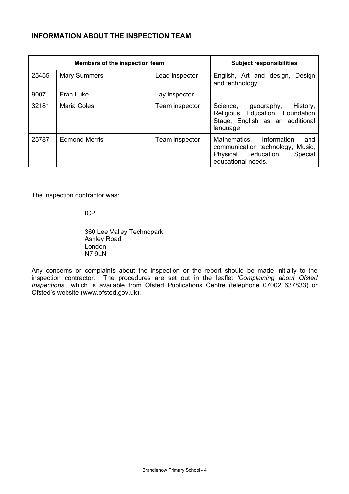# **INFORMATION ABOUT THE INSPECTION TEAM**

| Members of the inspection team |                      |                | <b>Subject responsibilities</b>                                                                                             |
|--------------------------------|----------------------|----------------|-----------------------------------------------------------------------------------------------------------------------------|
| 25455                          | <b>Mary Summers</b>  | Lead inspector | Design<br>English, Art and design,<br>and technology.                                                                       |
| 9007                           | Fran Luke            | Lay inspector  |                                                                                                                             |
| 32181                          | Maria Coles          | Team inspector | History,<br>Science, geography,<br>Religious Education, Foundation<br>Stage, English as an additional<br>language.          |
| 25787                          | <b>Edmond Morris</b> | Team inspector | Mathematics, Information<br>and<br>communication technology, Music,<br>Physical education,<br>Special<br>educational needs. |

The inspection contractor was:

ICP

 360 Lee Valley Technopark Ashley Road London N7 9LN

Any concerns or complaints about the inspection or the report should be made initially to the inspection contractor. The procedures are set out in the leaflet *'Complaining about Ofsted Inspections'*, which is available from Ofsted Publications Centre (telephone 07002 637833) or Ofsted's website (www.ofsted.gov.uk).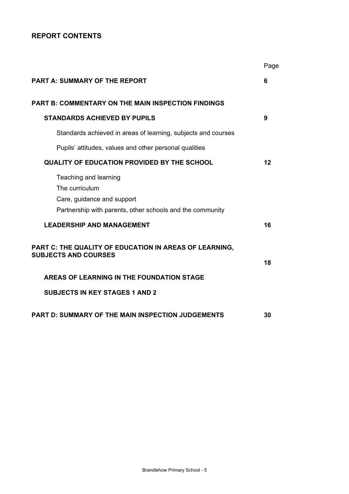# **REPORT CONTENTS**

|                                                                                                                                    | Page |
|------------------------------------------------------------------------------------------------------------------------------------|------|
| PART A: SUMMARY OF THE REPORT                                                                                                      | 6    |
| <b>PART B: COMMENTARY ON THE MAIN INSPECTION FINDINGS</b>                                                                          |      |
| <b>STANDARDS ACHIEVED BY PUPILS</b>                                                                                                | 9    |
| Standards achieved in areas of learning, subjects and courses                                                                      |      |
| Pupils' attitudes, values and other personal qualities                                                                             |      |
| <b>QUALITY OF EDUCATION PROVIDED BY THE SCHOOL</b>                                                                                 | 12   |
| Teaching and learning<br>The curriculum<br>Care, guidance and support<br>Partnership with parents, other schools and the community |      |
| <b>LEADERSHIP AND MANAGEMENT</b>                                                                                                   | 16   |
| PART C: THE QUALITY OF EDUCATION IN AREAS OF LEARNING,<br><b>SUBJECTS AND COURSES</b>                                              | 18   |
| AREAS OF LEARNING IN THE FOUNDATION STAGE                                                                                          |      |
| <b>SUBJECTS IN KEY STAGES 1 AND 2</b>                                                                                              |      |
| PART D: SUMMARY OF THE MAIN INSPECTION JUDGEMENTS                                                                                  | 30   |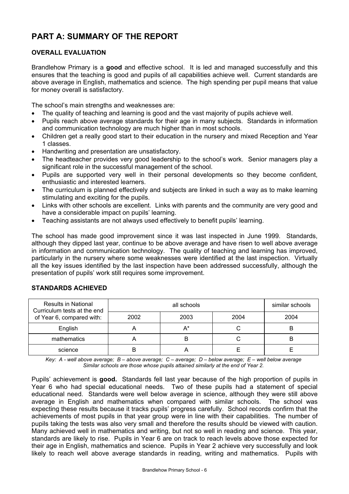# **PART A: SUMMARY OF THE REPORT**

### **OVERALL EVALUATION**

Brandlehow Primary is a **good** and effective school. It is led and managed successfully and this ensures that the teaching is good and pupils of all capabilities achieve well. Current standards are above average in English, mathematics and science. The high spending per pupil means that value for money overall is satisfactory.

The school's main strengths and weaknesses are:

- The quality of teaching and learning is good and the vast majority of pupils achieve well.
- Pupils reach above average standards for their age in many subjects. Standards in information and communication technology are much higher than in most schools.
- Children get a really good start to their education in the nursery and mixed Reception and Year 1 classes.
- Handwriting and presentation are unsatisfactory.
- The headteacher provides very good leadership to the school's work. Senior managers play a significant role in the successful management of the school.
- Pupils are supported very well in their personal developments so they become confident, enthusiastic and interested learners.
- The curriculum is planned effectively and subjects are linked in such a way as to make learning stimulating and exciting for the pupils.
- Links with other schools are excellent. Links with parents and the community are very good and have a considerable impact on pupils' learning.
- Teaching assistants are not always used effectively to benefit pupils' learning.

The school has made good improvement since it was last inspected in June 1999. Standards, although they dipped last year, continue to be above average and have risen to well above average in information and communication technology. The quality of teaching and learning has improved, particularly in the nursery where some weaknesses were identified at the last inspection. Virtually all the key issues identified by the last inspection have been addressed successfully, although the presentation of pupils' work still requires some improvement.

| <b>Results in National</b><br>Curriculum tests at the end |      | similar schools |      |      |
|-----------------------------------------------------------|------|-----------------|------|------|
| of Year 6, compared with:                                 | 2002 | 2003            | 2004 | 2004 |
| English                                                   |      | $A^*$           |      | ь    |
| mathematics                                               |      | В               |      | ь    |
| science                                                   |      |                 |      |      |

#### **STANDARDS ACHIEVED**

*Key: A - well above average; B – above average; C – average; D – below average; E – well below average Similar schools are those whose pupils attained similarly at the end of Year 2.* 

Pupils' achievement is **good.** Standards fell last year because of the high proportion of pupils in Year 6 who had special educational needs. Two of these pupils had a statement of special educational need. Standards were well below average in science, although they were still above average in English and mathematics when compared with similar schools. The school was expecting these results because it tracks pupils' progress carefully. School records confirm that the achievements of most pupils in that year group were in line with their capabilities. The number of pupils taking the tests was also very small and therefore the results should be viewed with caution. Many achieved well in mathematics and writing, but not so well in reading and science. This year, standards are likely to rise. Pupils in Year 6 are on track to reach levels above those expected for their age in English, mathematics and science. Pupils in Year 2 achieve very successfully and look likely to reach well above average standards in reading, writing and mathematics. Pupils with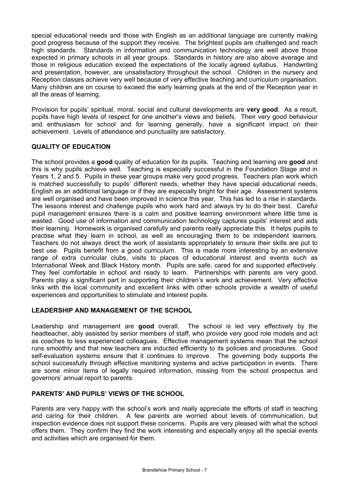special educational needs and those with English as an additional language are currently making good progress because of the support they receive. The brightest pupils are challenged and reach high standards. Standards in information and communication technology are well above those expected in primary schools in all year groups. Standards in history are also above average and those in religious education exceed the expectations of the locally agreed syllabus. Handwriting and presentation, however, are unsatisfactory throughout the school. Children in the nursery and Reception classes achieve very well because of very effective teaching and curriculum organisation. Many children are on course to exceed the early learning goals at the end of the Reception year in all the areas of learning.

Provision for pupils' spiritual, moral, social and cultural developments are **very good**. As a result, pupils have high levels of respect for one another's views and beliefs. Their very good behaviour and enthusiasm for school and for learning generally, have a significant impact on their achievement. Levels of attendance and punctuality are satisfactory.

### **QUALITY OF EDUCATION**

The school provides a **good** quality of education for its pupils. Teaching and learning are **good** and this is why pupils achieve well. Teaching is especially successful in the Foundation Stage and in Years 1, 2 and 5. Pupils in these year groups make very good progress. Teachers plan work which is matched successfully to pupils' different needs, whether they have special educational needs, English as an additional language or if they are especially bright for their age. Assessment systems are well organised and have been improved in science this year. This has led to a rise in standards. The lessons interest and challenge pupils who work hard and always try to do their best. Careful pupil management ensures there is a calm and positive learning environment where little time is wasted. Good use of information and communication technology captures pupils' interest and aids their learning. Homework is organised carefully and parents really appreciate this. It helps pupils to practise what they learn in school, as well as encouraging them to be independent learners. Teachers do not always direct the work of assistants appropriately to ensure their skills are put to best use. Pupils benefit from a good curriculum. This is made more interesting by an extensive range of extra curricular clubs, visits to places of educational interest and events such as International Week and Black History month. Pupils are safe, cared for and supported effectively. They feel comfortable in school and ready to learn. Partnerships with parents are very good. Parents play a significant part in supporting their children's work and achievement. Very effective links with the local community and excellent links with other schools provide a wealth of useful experiences and opportunities to stimulate and interest pupils.

### **LEADERSHIP AND MANAGEMENT OF THE SCHOOL**

Leadership and management are **good** overall. The school is led very effectively by the headteacher, ably assisted by senior members of staff, who provide very good role models and act as coaches to less experienced colleagues. Effective management systems mean that the school runs smoothly and that new teachers are inducted efficiently to its policies and procedures. Good self-evaluation systems ensure that it continues to improve. The governing body supports the school successfully through effective monitoring systems and active participation in events. There are some minor items of legally required information, missing from the school prospectus and governors' annual report to parents.

### **PARENTS' AND PUPILS' VIEWS OF THE SCHOOL**

Parents are very happy with the school's work and really appreciate the efforts of staff in teaching and caring for their children. A few parents are worried about levels of communication, but inspection evidence does not support these concerns. Pupils are very pleased with what the school offers them. They confirm they find the work interesting and especially enjoy all the special events and activities which are organised for them.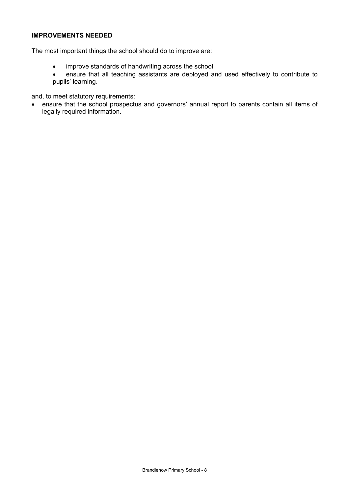### **IMPROVEMENTS NEEDED**

The most important things the school should do to improve are:

- improve standards of handwriting across the school.
- ensure that all teaching assistants are deployed and used effectively to contribute to pupils' learning.

and, to meet statutory requirements:

• ensure that the school prospectus and governors' annual report to parents contain all items of legally required information.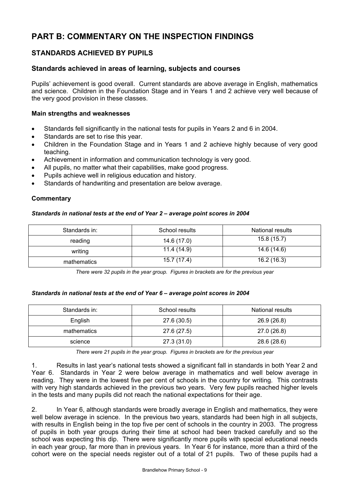# **PART B: COMMENTARY ON THE INSPECTION FINDINGS**

## **STANDARDS ACHIEVED BY PUPILS**

### **Standards achieved in areas of learning, subjects and courses**

Pupils' achievement is good overall. Current standards are above average in English, mathematics and science. Children in the Foundation Stage and in Years 1 and 2 achieve very well because of the very good provision in these classes.

#### **Main strengths and weaknesses**

- Standards fell significantly in the national tests for pupils in Years 2 and 6 in 2004.
- Standards are set to rise this year.
- Children in the Foundation Stage and in Years 1 and 2 achieve highly because of very good teaching.
- Achievement in information and communication technology is very good.
- All pupils, no matter what their capabilities, make good progress.
- Pupils achieve well in religious education and history.
- Standards of handwriting and presentation are below average.

#### **Commentary**

#### *Standards in national tests at the end of Year 2 – average point scores in 2004*

| Standards in: | School results | National results |
|---------------|----------------|------------------|
| reading       | 14.6 (17.0)    | 15.8 (15.7)      |
| writing       | 11.4 (14.9)    | 14.6 (14.6)      |
| mathematics   | 15.7 (17.4)    | 16.2(16.3)       |

*There were 32 pupils in the year group. Figures in brackets are for the previous year* 

#### *Standards in national tests at the end of Year 6 – average point scores in 2004*

| Standards in: | School results | <b>National results</b> |
|---------------|----------------|-------------------------|
| English       | 27.6 (30.5)    | 26.9 (26.8)             |
| mathematics   | 27.6 (27.5)    | 27.0 (26.8)             |
| science       | 27.3 (31.0)    | 28.6 (28.6)             |

*There were 21 pupils in the year group. Figures in brackets are for the previous year* 

1. Results in last year's national tests showed a significant fall in standards in both Year 2 and Year 6. Standards in Year 2 were below average in mathematics and well below average in reading. They were in the lowest five per cent of schools in the country for writing. This contrasts with very high standards achieved in the previous two years. Very few pupils reached higher levels in the tests and many pupils did not reach the national expectations for their age.

2. In Year 6, although standards were broadly average in English and mathematics, they were well below average in science. In the previous two years, standards had been high in all subjects, with results in English being in the top five per cent of schools in the country in 2003. The progress of pupils in both year groups during their time at school had been tracked carefully and so the school was expecting this dip. There were significantly more pupils with special educational needs in each year group, far more than in previous years. In Year 6 for instance, more than a third of the cohort were on the special needs register out of a total of 21 pupils. Two of these pupils had a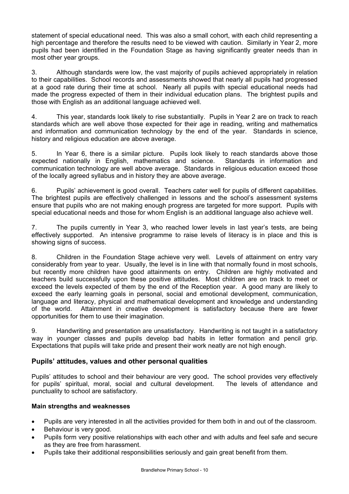statement of special educational need. This was also a small cohort, with each child representing a high percentage and therefore the results need to be viewed with caution. Similarly in Year 2, more pupils had been identified in the Foundation Stage as having significantly greater needs than in most other year groups.

3. Although standards were low, the vast majority of pupils achieved appropriately in relation to their capabilities. School records and assessments showed that nearly all pupils had progressed at a good rate during their time at school. Nearly all pupils with special educational needs had made the progress expected of them in their individual education plans. The brightest pupils and those with English as an additional language achieved well.

4. This year, standards look likely to rise substantially. Pupils in Year 2 are on track to reach standards which are well above those expected for their age in reading, writing and mathematics and information and communication technology by the end of the year. Standards in science, history and religious education are above average.

5. In Year 6, there is a similar picture. Pupils look likely to reach standards above those expected nationally in English, mathematics and science. Standards in information and communication technology are well above average. Standards in religious education exceed those of the locally agreed syllabus and in history they are above average.

6. Pupils' achievement is good overall. Teachers cater well for pupils of different capabilities. The brightest pupils are effectively challenged in lessons and the school's assessment systems ensure that pupils who are not making enough progress are targeted for more support. Pupils with special educational needs and those for whom English is an additional language also achieve well.

7. The pupils currently in Year 3, who reached lower levels in last year's tests, are being effectively supported. An intensive programme to raise levels of literacy is in place and this is showing signs of success.

8. Children in the Foundation Stage achieve very well. Levels of attainment on entry vary considerably from year to year. Usually, the level is in line with that normally found in most schools, but recently more children have good attainments on entry. Children are highly motivated and teachers build successfully upon these positive attitudes. Most children are on track to meet or exceed the levels expected of them by the end of the Reception year. A good many are likely to exceed the early learning goals in personal, social and emotional development, communication, language and literacy, physical and mathematical development and knowledge and understanding of the world. Attainment in creative development is satisfactory because there are fewer opportunities for them to use their imagination.

9. Handwriting and presentation are unsatisfactory. Handwriting is not taught in a satisfactory way in younger classes and pupils develop bad habits in letter formation and pencil grip. Expectations that pupils will take pride and present their work neatly are not high enough.

### **Pupils' attitudes, values and other personal qualities**

Pupils' attitudes to school and their behaviour are very good**.** The school provides very effectively for pupils' spiritual, moral, social and cultural development. The levels of attendance and punctuality to school are satisfactory.

### **Main strengths and weaknesses**

- Pupils are very interested in all the activities provided for them both in and out of the classroom.
- Behaviour is very good.
- Pupils form very positive relationships with each other and with adults and feel safe and secure as they are free from harassment.
- Pupils take their additional responsibilities seriously and gain great benefit from them.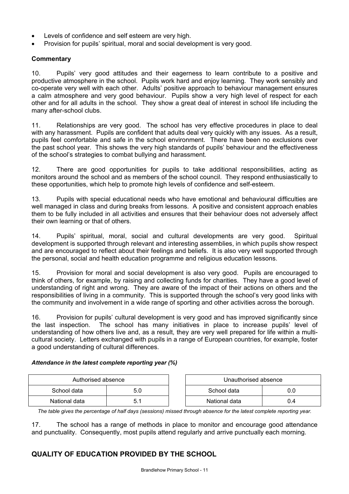- Levels of confidence and self esteem are very high.
- Provision for pupils' spiritual, moral and social development is very good.

### **Commentary**

10. Pupils' very good attitudes and their eagerness to learn contribute to a positive and productive atmosphere in the school. Pupils work hard and enjoy learning. They work sensibly and co-operate very well with each other. Adults' positive approach to behaviour management ensures a calm atmosphere and very good behaviour. Pupils show a very high level of respect for each other and for all adults in the school. They show a great deal of interest in school life including the many after-school clubs.

11. Relationships are very good. The school has very effective procedures in place to deal with any harassment. Pupils are confident that adults deal very quickly with any issues. As a result, pupils feel comfortable and safe in the school environment. There have been no exclusions over the past school year. This shows the very high standards of pupils' behaviour and the effectiveness of the school's strategies to combat bullying and harassment.

12. There are good opportunities for pupils to take additional responsibilities, acting as monitors around the school and as members of the school council. They respond enthusiastically to these opportunities, which help to promote high levels of confidence and self-esteem.

13. Pupils with special educational needs who have emotional and behavioural difficulties are well managed in class and during breaks from lessons. A positive and consistent approach enables them to be fully included in all activities and ensures that their behaviour does not adversely affect their own learning or that of others.

14. Pupils' spiritual, moral, social and cultural developments are very good. Spiritual development is supported through relevant and interesting assemblies, in which pupils show respect and are encouraged to reflect about their feelings and beliefs. It is also very well supported through the personal, social and health education programme and religious education lessons.

15. Provision for moral and social development is also very good. Pupils are encouraged to think of others, for example, by raising and collecting funds for charities. They have a good level of understanding of right and wrong. They are aware of the impact of their actions on others and the responsibilities of living in a community. This is supported through the school's very good links with the community and involvement in a wide range of sporting and other activities across the borough.

16. Provision for pupils' cultural development is very good and has improved significantly since the last inspection. The school has many initiatives in place to increase pupils' level of understanding of how others live and, as a result, they are very well prepared for life within a multicultural society. Letters exchanged with pupils in a range of European countries, for example, foster a good understanding of cultural differences.

#### *Attendance in the latest complete reporting year (%)*

| Authorised absence |     | Unauthorised absence |     |
|--------------------|-----|----------------------|-----|
| School data        | 5.0 | School data          |     |
| National data      |     | National data        | J.4 |

*The table gives the percentage of half days (sessions) missed through absence for the latest complete reporting year.*

17. The school has a range of methods in place to monitor and encourage good attendance and punctuality. Consequently, most pupils attend regularly and arrive punctually each morning.

# **QUALITY OF EDUCATION PROVIDED BY THE SCHOOL**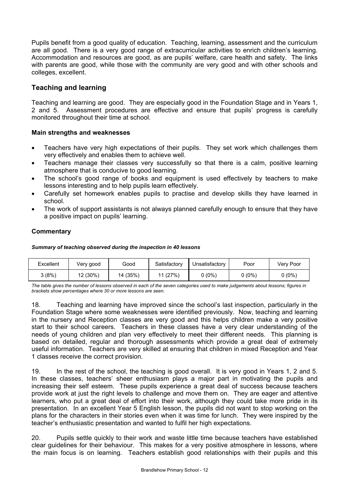Pupils benefit from a good quality of education. Teaching, learning, assessment and the curriculum are all good. There is a very good range of extracurricular activities to enrich children's learning. Accommodation and resources are good, as are pupils' welfare, care health and safety. The links with parents are good, while those with the community are very good and with other schools and colleges, excellent.

# **Teaching and learning**

Teaching and learning are good. They are especially good in the Foundation Stage and in Years 1, 2 and 5. Assessment procedures are effective and ensure that pupils' progress is carefully monitored throughout their time at school.

### **Main strengths and weaknesses**

- Teachers have very high expectations of their pupils. They set work which challenges them very effectively and enables them to achieve well.
- Teachers manage their classes very successfully so that there is a calm, positive learning atmosphere that is conducive to good learning.
- The school's good range of books and equipment is used effectively by teachers to make lessons interesting and to help pupils learn effectively.
- Carefully set homework enables pupils to practise and develop skills they have learned in school.
- The work of support assistants is not always planned carefully enough to ensure that they have a positive impact on pupils' learning.

### **Commentary**

#### *Summary of teaching observed during the inspection in 40 lessons*

| Excellent | Very good | Good     | Satisfactory | Unsatisfactory | Poor     | Very Poor |
|-----------|-----------|----------|--------------|----------------|----------|-----------|
| კ (8%)    | 12 (30%)  | 14 (35%) | 11 (27%)     | $0(0\%)$       | $0(0\%)$ | $0(0\%)$  |

*The table gives the number of lessons observed in each of the seven categories used to make judgements about lessons; figures in brackets show percentages where 30 or more lessons are seen.* 

18. Teaching and learning have improved since the school's last inspection, particularly in the Foundation Stage where some weaknesses were identified previously. Now, teaching and learning in the nursery and Reception classes are very good and this helps children make a very positive start to their school careers. Teachers in these classes have a very clear understanding of the needs of young children and plan very effectively to meet their different needs. This planning is based on detailed, regular and thorough assessments which provide a great deal of extremely useful information. Teachers are very skilled at ensuring that children in mixed Reception and Year 1 classes receive the correct provision.

19. In the rest of the school, the teaching is good overall. It is very good in Years 1, 2 and 5. In these classes, teachers' sheer enthusiasm plays a major part in motivating the pupils and increasing their self esteem. These pupils experience a great deal of success because teachers provide work at just the right levels to challenge and move them on. They are eager and attentive learners, who put a great deal of effort into their work, although they could take more pride in its presentation. In an excellent Year 5 English lesson, the pupils did not want to stop working on the plans for the characters in their stories even when it was time for lunch. They were inspired by the teacher's enthusiastic presentation and wanted to fulfil her high expectations.

20. Pupils settle quickly to their work and waste little time because teachers have established clear guidelines for their behaviour. This makes for a very positive atmosphere in lessons, where the main focus is on learning. Teachers establish good relationships with their pupils and this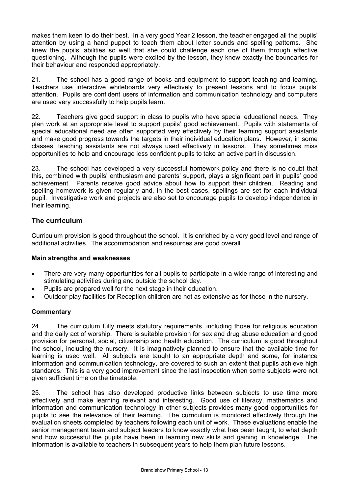makes them keen to do their best. In a very good Year 2 lesson, the teacher engaged all the pupils' attention by using a hand puppet to teach them about letter sounds and spelling patterns. She knew the pupils' abilities so well that she could challenge each one of them through effective questioning. Although the pupils were excited by the lesson, they knew exactly the boundaries for their behaviour and responded appropriately.

21. The school has a good range of books and equipment to support teaching and learning. Teachers use interactive whiteboards very effectively to present lessons and to focus pupils' attention. Pupils are confident users of information and communication technology and computers are used very successfully to help pupils learn.

22. Teachers give good support in class to pupils who have special educational needs. They plan work at an appropriate level to support pupils' good achievement. Pupils with statements of special educational need are often supported very effectively by their learning support assistants and make good progress towards the targets in their individual education plans. However, in some classes, teaching assistants are not always used effectively in lessons. They sometimes miss opportunities to help and encourage less confident pupils to take an active part in discussion.

23. The school has developed a very successful homework policy and there is no doubt that this, combined with pupils' enthusiasm and parents' support, plays a significant part in pupils' good achievement. Parents receive good advice about how to support their children. Reading and spelling homework is given regularly and, in the best cases, spellings are set for each individual pupil. Investigative work and projects are also set to encourage pupils to develop independence in their learning.

## **The curriculum**

Curriculum provision is good throughout the school. It is enriched by a very good level and range of additional activities. The accommodation and resources are good overall.

### **Main strengths and weaknesses**

- There are very many opportunities for all pupils to participate in a wide range of interesting and stimulating activities during and outside the school day.
- Pupils are prepared well for the next stage in their education.
- Outdoor play facilities for Reception children are not as extensive as for those in the nursery.

### **Commentary**

24. The curriculum fully meets statutory requirements, including those for religious education and the daily act of worship. There is suitable provision for sex and drug abuse education and good provision for personal, social, citizenship and health education. The curriculum is good throughout the school, including the nursery. It is imaginatively planned to ensure that the available time for learning is used well. All subjects are taught to an appropriate depth and some, for instance information and communication technology, are covered to such an extent that pupils achieve high standards. This is a very good improvement since the last inspection when some subjects were not given sufficient time on the timetable.

25. The school has also developed productive links between subjects to use time more effectively and make learning relevant and interesting. Good use of literacy, mathematics and information and communication technology in other subjects provides many good opportunities for pupils to see the relevance of their learning. The curriculum is monitored effectively through the evaluation sheets completed by teachers following each unit of work. These evaluations enable the senior management team and subject leaders to know exactly what has been taught, to what depth and how successful the pupils have been in learning new skills and gaining in knowledge. The information is available to teachers in subsequent years to help them plan future lessons.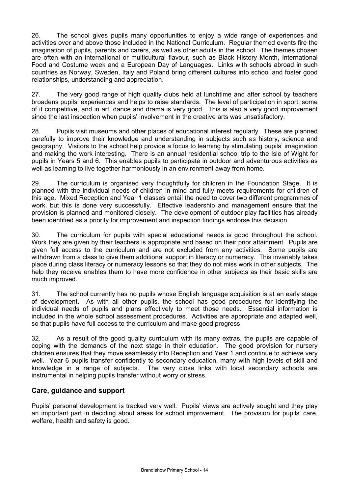26. The school gives pupils many opportunities to enjoy a wide range of experiences and activities over and above those included in the National Curriculum. Regular themed events fire the imagination of pupils, parents and carers, as well as other adults in the school. The themes chosen are often with an international or multicultural flavour, such as Black History Month, International Food and Costume week and a European Day of Languages. Links with schools abroad in such countries as Norway, Sweden, Italy and Poland bring different cultures into school and foster good relationships, understanding and appreciation.

27. The very good range of high quality clubs held at lunchtime and after school by teachers broadens pupils' experiences and helps to raise standards. The level of participation in sport, some of it competitive, and in art, dance and drama is very good. This is also a very good improvement since the last inspection when pupils' involvement in the creative arts was unsatisfactory.

28. Pupils visit museums and other places of educational interest regularly. These are planned carefully to improve their knowledge and understanding in subjects such as history, science and geography. Visitors to the school help provide a focus to learning by stimulating pupils' imagination and making the work interesting. There is an annual residential school trip to the Isle of Wight for pupils in Years 5 and 6. This enables pupils to participate in outdoor and adventurous activities as well as learning to live together harmoniously in an environment away from home.

29. The curriculum is organised very thoughtfully for children in the Foundation Stage. It is planned with the individual needs of children in mind and fully meets requirements for children of this age. Mixed Reception and Year 1 classes entail the need to cover two different programmes of work, but this is done very successfully. Effective leadership and management ensure that the provision is planned and monitored closely. The development of outdoor play facilities has already been identified as a priority for improvement and inspection findings endorse this decision.

30. The curriculum for pupils with special educational needs is good throughout the school. Work they are given by their teachers is appropriate and based on their prior attainment. Pupils are given full access to the curriculum and are not excluded from any activities. Some pupils are withdrawn from a class to give them additional support in literacy or numeracy. This invariably takes place during class literacy or numeracy lessons so that they do not miss work in other subjects. The help they receive enables them to have more confidence in other subjects as their basic skills are much improved.

31. The school currently has no pupils whose English language acquisition is at an early stage of development. As with all other pupils, the school has good procedures for identifying the individual needs of pupils and plans effectively to meet those needs. Essential information is included in the whole school assessment procedures. Activities are appropriate and adapted well, so that pupils have full access to the curriculum and make good progress.

32. As a result of the good quality curriculum with its many extras, the pupils are capable of coping with the demands of the next stage in their education. The good provision for nursery children ensures that they move seamlessly into Reception and Year 1 and continue to achieve very well. Year 6 pupils transfer confidently to secondary education, many with high levels of skill and knowledge in a range of subjects. The very close links with local secondary schools are instrumental in helping pupils transfer without worry or stress.

### **Care, guidance and support**

Pupils' personal development is tracked very well. Pupils' views are actively sought and they play an important part in deciding about areas for school improvement. The provision for pupils' care, welfare, health and safety is good.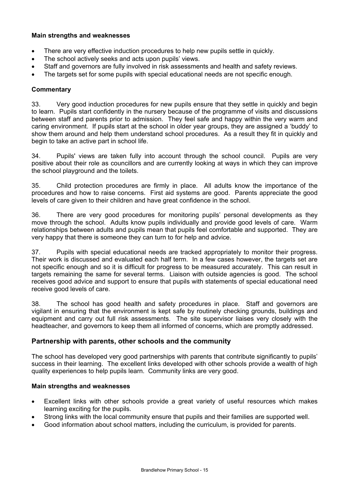### **Main strengths and weaknesses**

- There are very effective induction procedures to help new pupils settle in quickly.
- The school actively seeks and acts upon pupils' views.
- Staff and governors are fully involved in risk assessments and health and safety reviews.
- The targets set for some pupils with special educational needs are not specific enough.

### **Commentary**

33. Very good induction procedures for new pupils ensure that they settle in quickly and begin to learn. Pupils start confidently in the nursery because of the programme of visits and discussions between staff and parents prior to admission. They feel safe and happy within the very warm and caring environment. If pupils start at the school in older year groups, they are assigned a 'buddy' to show them around and help them understand school procedures. As a result they fit in quickly and begin to take an active part in school life.

34. Pupils' views are taken fully into account through the school council. Pupils are very positive about their role as councillors and are currently looking at ways in which they can improve the school playground and the toilets.

35. Child protection procedures are firmly in place. All adults know the importance of the procedures and how to raise concerns. First aid systems are good. Parents appreciate the good levels of care given to their children and have great confidence in the school.

36. There are very good procedures for monitoring pupils' personal developments as they move through the school. Adults know pupils individually and provide good levels of care. Warm relationships between adults and pupils mean that pupils feel comfortable and supported. They are very happy that there is someone they can turn to for help and advice.

37. Pupils with special educational needs are tracked appropriately to monitor their progress. Their work is discussed and evaluated each half term. In a few cases however, the targets set are not specific enough and so it is difficult for progress to be measured accurately. This can result in targets remaining the same for several terms. Liaison with outside agencies is good. The school receives good advice and support to ensure that pupils with statements of special educational need receive good levels of care.

38. The school has good health and safety procedures in place. Staff and governors are vigilant in ensuring that the environment is kept safe by routinely checking grounds, buildings and equipment and carry out full risk assessments. The site supervisor liaises very closely with the headteacher, and governors to keep them all informed of concerns, which are promptly addressed.

### **Partnership with parents, other schools and the community**

The school has developed very good partnerships with parents that contribute significantly to pupils' success in their learning. The excellent links developed with other schools provide a wealth of high quality experiences to help pupils learn. Community links are very good.

### **Main strengths and weaknesses**

- Excellent links with other schools provide a great variety of useful resources which makes learning exciting for the pupils.
- Strong links with the local community ensure that pupils and their families are supported well.
- Good information about school matters, including the curriculum, is provided for parents.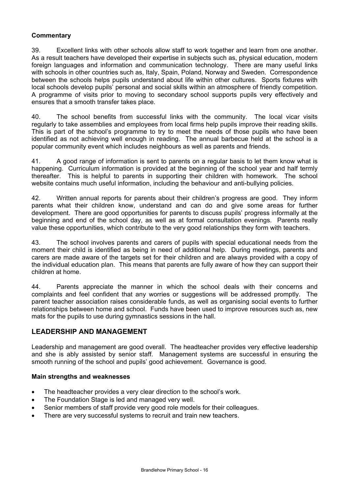### **Commentary**

39. Excellent links with other schools allow staff to work together and learn from one another. As a result teachers have developed their expertise in subjects such as, physical education, modern foreign languages and information and communication technology. There are many useful links with schools in other countries such as, Italy, Spain, Poland, Norway and Sweden. Correspondence between the schools helps pupils understand about life within other cultures. Sports fixtures with local schools develop pupils' personal and social skills within an atmosphere of friendly competition. A programme of visits prior to moving to secondary school supports pupils very effectively and ensures that a smooth transfer takes place.

40. The school benefits from successful links with the community. The local vicar visits regularly to take assemblies and employees from local firms help pupils improve their reading skills. This is part of the school's programme to try to meet the needs of those pupils who have been identified as not achieving well enough in reading. The annual barbecue held at the school is a popular community event which includes neighbours as well as parents and friends.

41. A good range of information is sent to parents on a regular basis to let them know what is happening. Curriculum information is provided at the beginning of the school year and half termly thereafter. This is helpful to parents in supporting their children with homework. The school website contains much useful information, including the behaviour and anti-bullying policies.

42. Written annual reports for parents about their children's progress are good. They inform parents what their children know, understand and can do and give some areas for further development. There are good opportunities for parents to discuss pupils' progress informally at the beginning and end of the school day, as well as at formal consultation evenings. Parents really value these opportunities, which contribute to the very good relationships they form with teachers.

43. The school involves parents and carers of pupils with special educational needs from the moment their child is identified as being in need of additional help. During meetings, parents and carers are made aware of the targets set for their children and are always provided with a copy of the individual education plan. This means that parents are fully aware of how they can support their children at home.

44. Parents appreciate the manner in which the school deals with their concerns and complaints and feel confident that any worries or suggestions will be addressed promptly. The parent teacher association raises considerable funds, as well as organising social events to further relationships between home and school. Funds have been used to improve resources such as, new mats for the pupils to use during gymnastics sessions in the hall.

### **LEADERSHIP AND MANAGEMENT**

Leadership and management are good overall. The headteacher provides very effective leadership and she is ably assisted by senior staff. Management systems are successful in ensuring the smooth running of the school and pupils' good achievement. Governance is good.

### **Main strengths and weaknesses**

- The headteacher provides a very clear direction to the school's work.
- The Foundation Stage is led and managed very well.
- Senior members of staff provide very good role models for their colleagues.
- There are very successful systems to recruit and train new teachers.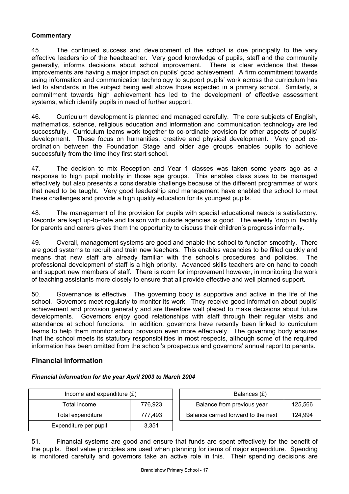### **Commentary**

45. The continued success and development of the school is due principally to the very effective leadership of the headteacher. Very good knowledge of pupils, staff and the community generally, informs decisions about school improvement. There is clear evidence that these improvements are having a major impact on pupils' good achievement. A firm commitment towards using information and communication technology to support pupils' work across the curriculum has led to standards in the subject being well above those expected in a primary school. Similarly, a commitment towards high achievement has led to the development of effective assessment systems, which identify pupils in need of further support.

46. Curriculum development is planned and managed carefully. The core subjects of English, mathematics, science, religious education and information and communication technology are led successfully. Curriculum teams work together to co-ordinate provision for other aspects of pupils' development. These focus on humanities, creative and physical development. Very good coordination between the Foundation Stage and older age groups enables pupils to achieve successfully from the time they first start school.

47. The decision to mix Reception and Year 1 classes was taken some years ago as a response to high pupil mobility in those age groups. This enables class sizes to be managed effectively but also presents a considerable challenge because of the different programmes of work that need to be taught. Very good leadership and management have enabled the school to meet these challenges and provide a high quality education for its youngest pupils.

48. The management of the provision for pupils with special educational needs is satisfactory. Records are kept up-to-date and liaison with outside agencies is good. The weekly 'drop in' facility for parents and carers gives them the opportunity to discuss their children's progress informally.

49. Overall, management systems are good and enable the school to function smoothly. There are good systems to recruit and train new teachers. This enables vacancies to be filled quickly and means that new staff are already familiar with the school's procedures and policies. The professional development of staff is a high priority. Advanced skills teachers are on hand to coach and support new members of staff. There is room for improvement however, in monitoring the work of teaching assistants more closely to ensure that all provide effective and well planned support.

50. Governance is effective. The governing body is supportive and active in the life of the school. Governors meet regularly to monitor its work. They receive good information about pupils' achievement and provision generally and are therefore well placed to make decisions about future developments. Governors enjoy good relationships with staff through their regular visits and attendance at school functions. In addition, governors have recently been linked to curriculum teams to help them monitor school provision even more effectively. The governing body ensures that the school meets its statutory responsibilities in most respects, although some of the required information has been omitted from the school's prospectus and governors' annual report to parents.

### **Financial information**

#### *Financial information for the year April 2003 to March 2004*

| Income and expenditure $(E)$ | Balances $(E)$ |                                  |
|------------------------------|----------------|----------------------------------|
| Total income                 | 776.923        | Balance from previous year       |
| Total expenditure            | 777.493        | Balance carried forward to the r |
| Expenditure per pupil        | 3,351          |                                  |

| Income and expenditure $(E)$ |         | Balances (£)                          |         |
|------------------------------|---------|---------------------------------------|---------|
| Total income                 | 776.923 | Balance from previous year<br>125,566 |         |
| Total expenditure            | 777.493 | Balance carried forward to the next   | 124.994 |

51. Financial systems are good and ensure that funds are spent effectively for the benefit of the pupils. Best value principles are used when planning for items of major expenditure. Spending is monitored carefully and governors take an active role in this. Their spending decisions are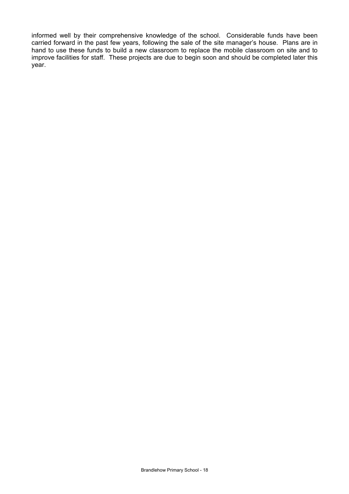informed well by their comprehensive knowledge of the school. Considerable funds have been carried forward in the past few years, following the sale of the site manager's house. Plans are in hand to use these funds to build a new classroom to replace the mobile classroom on site and to improve facilities for staff. These projects are due to begin soon and should be completed later this year.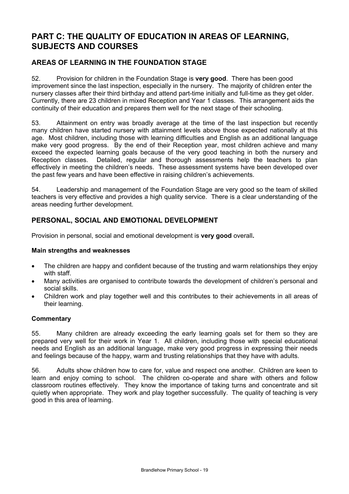# **PART C: THE QUALITY OF EDUCATION IN AREAS OF LEARNING, SUBJECTS AND COURSES**

## **AREAS OF LEARNING IN THE FOUNDATION STAGE**

52. Provision for children in the Foundation Stage is **very good**. There has been good improvement since the last inspection, especially in the nursery. The majority of children enter the nursery classes after their third birthday and attend part-time initially and full-time as they get older. Currently, there are 23 children in mixed Reception and Year 1 classes. This arrangement aids the continuity of their education and prepares them well for the next stage of their schooling.

53. Attainment on entry was broadly average at the time of the last inspection but recently many children have started nursery with attainment levels above those expected nationally at this age. Most children, including those with learning difficulties and English as an additional language make very good progress. By the end of their Reception year, most children achieve and many exceed the expected learning goals because of the very good teaching in both the nursery and Reception classes. Detailed, regular and thorough assessments help the teachers to plan effectively in meeting the children's needs. These assessment systems have been developed over the past few years and have been effective in raising children's achievements.

54. Leadership and management of the Foundation Stage are very good so the team of skilled teachers is very effective and provides a high quality service. There is a clear understanding of the areas needing further development.

## **PERSONAL, SOCIAL AND EMOTIONAL DEVELOPMENT**

Provision in personal, social and emotional development is **very good** overall**.**

### **Main strengths and weaknesses**

- The children are happy and confident because of the trusting and warm relationships they enjoy with staff.
- Many activities are organised to contribute towards the development of children's personal and social skills.
- Children work and play together well and this contributes to their achievements in all areas of their learning.

### **Commentary**

55. Many children are already exceeding the early learning goals set for them so they are prepared very well for their work in Year 1. All children, including those with special educational needs and English as an additional language, make very good progress in expressing their needs and feelings because of the happy, warm and trusting relationships that they have with adults.

56. Adults show children how to care for, value and respect one another. Children are keen to learn and enjoy coming to school. The children co-operate and share with others and follow classroom routines effectively. They know the importance of taking turns and concentrate and sit quietly when appropriate. They work and play together successfully. The quality of teaching is very good in this area of learning.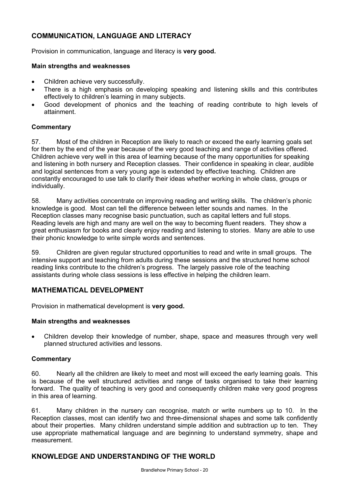# **COMMUNICATION, LANGUAGE AND LITERACY**

Provision in communication, language and literacy is **very good.** 

### **Main strengths and weaknesses**

- Children achieve very successfully.
- There is a high emphasis on developing speaking and listening skills and this contributes effectively to children's learning in many subjects.
- Good development of phonics and the teaching of reading contribute to high levels of attainment.

### **Commentary**

57. Most of the children in Reception are likely to reach or exceed the early learning goals set for them by the end of the year because of the very good teaching and range of activities offered. Children achieve very well in this area of learning because of the many opportunities for speaking and listening in both nursery and Reception classes. Their confidence in speaking in clear, audible and logical sentences from a very young age is extended by effective teaching. Children are constantly encouraged to use talk to clarify their ideas whether working in whole class, groups or individually.

58. Many activities concentrate on improving reading and writing skills. The children's phonic knowledge is good. Most can tell the difference between letter sounds and names. In the Reception classes many recognise basic punctuation, such as capital letters and full stops. Reading levels are high and many are well on the way to becoming fluent readers. They show a great enthusiasm for books and clearly enjoy reading and listening to stories. Many are able to use their phonic knowledge to write simple words and sentences.

59. Children are given regular structured opportunities to read and write in small groups. The intensive support and teaching from adults during these sessions and the structured home school reading links contribute to the children's progress. The largely passive role of the teaching assistants during whole class sessions is less effective in helping the children learn.

# **MATHEMATICAL DEVELOPMENT**

Provision in mathematical development is **very good.** 

### **Main strengths and weaknesses**

• Children develop their knowledge of number, shape, space and measures through very well planned structured activities and lessons.

### **Commentary**

60. Nearly all the children are likely to meet and most will exceed the early learning goals. This is because of the well structured activities and range of tasks organised to take their learning forward. The quality of teaching is very good and consequently children make very good progress in this area of learning.

61. Many children in the nursery can recognise, match or write numbers up to 10. In the Reception classes, most can identify two and three-dimensional shapes and some talk confidently about their properties. Many children understand simple addition and subtraction up to ten. They use appropriate mathematical language and are beginning to understand symmetry, shape and measurement.

### **KNOWLEDGE AND UNDERSTANDING OF THE WORLD**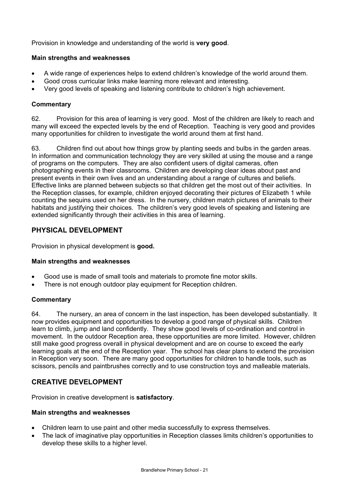Provision in knowledge and understanding of the world is **very good**.

### **Main strengths and weaknesses**

- A wide range of experiences helps to extend children's knowledge of the world around them.
- Good cross curricular links make learning more relevant and interesting.
- Very good levels of speaking and listening contribute to children's high achievement.

### **Commentary**

62. Provision for this area of learning is very good. Most of the children are likely to reach and many will exceed the expected levels by the end of Reception. Teaching is very good and provides many opportunities for children to investigate the world around them at first hand.

63. Children find out about how things grow by planting seeds and bulbs in the garden areas. In information and communication technology they are very skilled at using the mouse and a range of programs on the computers. They are also confident users of digital cameras, often photographing events in their classrooms. Children are developing clear ideas about past and present events in their own lives and an understanding about a range of cultures and beliefs. Effective links are planned between subjects so that children get the most out of their activities. In the Reception classes, for example, children enjoyed decorating their pictures of Elizabeth 1 while counting the sequins used on her dress. In the nursery, children match pictures of animals to their habitats and justifying their choices. The children's very good levels of speaking and listening are extended significantly through their activities in this area of learning.

## **PHYSICAL DEVELOPMENT**

Provision in physical development is **good.** 

### **Main strengths and weaknesses**

- Good use is made of small tools and materials to promote fine motor skills.
- There is not enough outdoor play equipment for Reception children.

### **Commentary**

64. The nursery, an area of concern in the last inspection, has been developed substantially. It now provides equipment and opportunities to develop a good range of physical skills. Children learn to climb, jump and land confidently. They show good levels of co-ordination and control in movement. In the outdoor Reception area, these opportunities are more limited. However, children still make good progress overall in physical development and are on course to exceed the early learning goals at the end of the Reception year. The school has clear plans to extend the provision in Reception very soon. There are many good opportunities for children to handle tools, such as scissors, pencils and paintbrushes correctly and to use construction toys and malleable materials.

### **CREATIVE DEVELOPMENT**

Provision in creative development is **satisfactory**.

### **Main strengths and weaknesses**

- Children learn to use paint and other media successfully to express themselves.
- The lack of imaginative play opportunities in Reception classes limits children's opportunities to develop these skills to a higher level.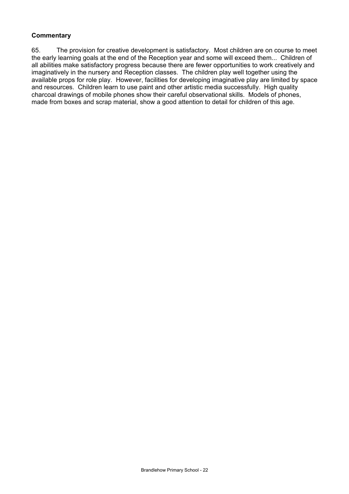### **Commentary**

65. The provision for creative development is satisfactory. Most children are on course to meet the early learning goals at the end of the Reception year and some will exceed them... Children of all abilities make satisfactory progress because there are fewer opportunities to work creatively and imaginatively in the nursery and Reception classes. The children play well together using the available props for role play. However, facilities for developing imaginative play are limited by space and resources. Children learn to use paint and other artistic media successfully. High quality charcoal drawings of mobile phones show their careful observational skills. Models of phones, made from boxes and scrap material, show a good attention to detail for children of this age.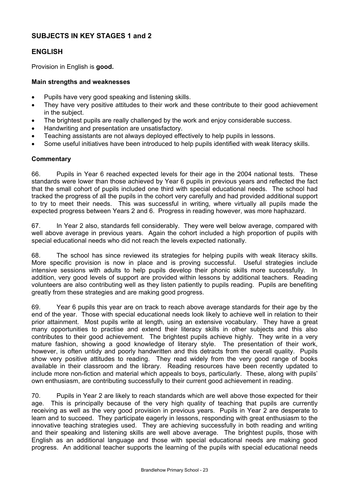### **SUBJECTS IN KEY STAGES 1 and 2**

### **ENGLISH**

Provision in English is **good.** 

#### **Main strengths and weaknesses**

- Pupils have very good speaking and listening skills.
- They have very positive attitudes to their work and these contribute to their good achievement in the subject.
- The brightest pupils are really challenged by the work and enjoy considerable success.
- Handwriting and presentation are unsatisfactory.
- Teaching assistants are not always deployed effectively to help pupils in lessons.
- Some useful initiatives have been introduced to help pupils identified with weak literacy skills.

#### **Commentary**

66. Pupils in Year 6 reached expected levels for their age in the 2004 national tests. These standards were lower than those achieved by Year 6 pupils in previous years and reflected the fact that the small cohort of pupils included one third with special educational needs. The school had tracked the progress of all the pupils in the cohort very carefully and had provided additional support to try to meet their needs. This was successful in writing, where virtually all pupils made the expected progress between Years 2 and 6. Progress in reading however, was more haphazard.

67. In Year 2 also, standards fell considerably. They were well below average, compared with well above average in previous years. Again the cohort included a high proportion of pupils with special educational needs who did not reach the levels expected nationally.

68. The school has since reviewed its strategies for helping pupils with weak literacy skills. More specific provision is now in place and is proving successful. Useful strategies include intensive sessions with adults to help pupils develop their phonic skills more successfully. In addition, very good levels of support are provided within lessons by additional teachers. Reading volunteers are also contributing well as they listen patiently to pupils reading. Pupils are benefiting greatly from these strategies and are making good progress.

69. Year 6 pupils this year are on track to reach above average standards for their age by the end of the year. Those with special educational needs look likely to achieve well in relation to their prior attainment. Most pupils write at length, using an extensive vocabulary. They have a great many opportunities to practise and extend their literacy skills in other subjects and this also contributes to their good achievement. The brightest pupils achieve highly. They write in a very mature fashion, showing a good knowledge of literary style. The presentation of their work, however, is often untidy and poorly handwritten and this detracts from the overall quality. Pupils show very positive attitudes to reading. They read widely from the very good range of books available in their classroom and the library. Reading resources have been recently updated to include more non-fiction and material which appeals to boys, particularly. These, along with pupils' own enthusiasm, are contributing successfully to their current good achievement in reading.

70. Pupils in Year 2 are likely to reach standards which are well above those expected for their age. This is principally because of the very high quality of teaching that pupils are currently receiving as well as the very good provision in previous years. Pupils in Year 2 are desperate to learn and to succeed. They participate eagerly in lessons, responding with great enthusiasm to the innovative teaching strategies used. They are achieving successfully in both reading and writing and their speaking and listening skills are well above average. The brightest pupils, those with English as an additional language and those with special educational needs are making good progress. An additional teacher supports the learning of the pupils with special educational needs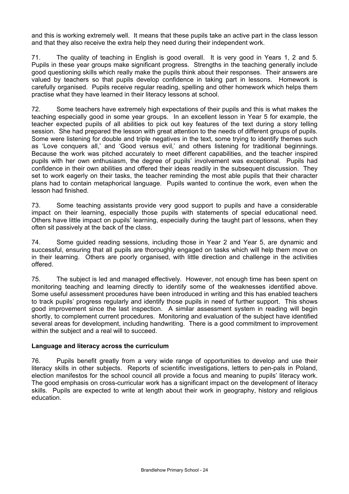and this is working extremely well. It means that these pupils take an active part in the class lesson and that they also receive the extra help they need during their independent work.

71. The quality of teaching in English is good overall. It is very good in Years 1, 2 and 5. Pupils in these year groups make significant progress. Strengths in the teaching generally include good questioning skills which really make the pupils think about their responses. Their answers are valued by teachers so that pupils develop confidence in taking part in lessons. Homework is carefully organised. Pupils receive regular reading, spelling and other homework which helps them practise what they have learned in their literacy lessons at school.

72. Some teachers have extremely high expectations of their pupils and this is what makes the teaching especially good in some year groups. In an excellent lesson in Year 5 for example, the teacher expected pupils of all abilities to pick out key features of the text during a story telling session. She had prepared the lesson with great attention to the needs of different groups of pupils. Some were listening for double and triple negatives in the text, some trying to identify themes such as 'Love conquers all,' and 'Good versus evil,' and others listening for traditional beginnings. Because the work was pitched accurately to meet different capabilities, and the teacher inspired pupils with her own enthusiasm, the degree of pupils' involvement was exceptional. Pupils had confidence in their own abilities and offered their ideas readily in the subsequent discussion. They set to work eagerly on their tasks, the teacher reminding the most able pupils that their character plans had to contain metaphorical language. Pupils wanted to continue the work, even when the lesson had finished.

73. Some teaching assistants provide very good support to pupils and have a considerable impact on their learning, especially those pupils with statements of special educational need. Others have little impact on pupils' learning, especially during the taught part of lessons, when they often sit passively at the back of the class.

74. Some guided reading sessions, including those in Year 2 and Year 5, are dynamic and successful, ensuring that all pupils are thoroughly engaged on tasks which will help them move on in their learning. Others are poorly organised, with little direction and challenge in the activities offered.

75. The subject is led and managed effectively. However, not enough time has been spent on monitoring teaching and learning directly to identify some of the weaknesses identified above. Some useful assessment procedures have been introduced in writing and this has enabled teachers to track pupils' progress regularly and identify those pupils in need of further support. This shows good improvement since the last inspection. A similar assessment system in reading will begin shortly, to complement current procedures. Monitoring and evaluation of the subject have identified several areas for development, including handwriting. There is a good commitment to improvement within the subject and a real will to succeed.

### **Language and literacy across the curriculum**

76. Pupils benefit greatly from a very wide range of opportunities to develop and use their literacy skills in other subjects. Reports of scientific investigations, letters to pen-pals in Poland, election manifestos for the school council all provide a focus and meaning to pupils' literacy work. The good emphasis on cross-curricular work has a significant impact on the development of literacy skills. Pupils are expected to write at length about their work in geography, history and religious education.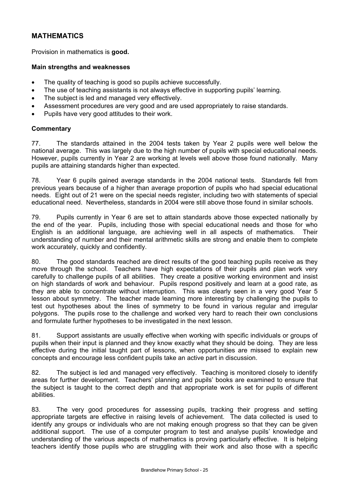# **MATHEMATICS**

Provision in mathematics is **good.**

#### **Main strengths and weaknesses**

- The quality of teaching is good so pupils achieve successfully.
- The use of teaching assistants is not always effective in supporting pupils' learning.
- The subject is led and managed very effectively.
- Assessment procedures are very good and are used appropriately to raise standards.
- Pupils have very good attitudes to their work.

### **Commentary**

77. The standards attained in the 2004 tests taken by Year 2 pupils were well below the national average. This was largely due to the high number of pupils with special educational needs. However, pupils currently in Year 2 are working at levels well above those found nationally. Many pupils are attaining standards higher than expected.

78. Year 6 pupils gained average standards in the 2004 national tests. Standards fell from previous years because of a higher than average proportion of pupils who had special educational needs. Eight out of 21 were on the special needs register, including two with statements of special educational need. Nevertheless, standards in 2004 were still above those found in similar schools.

79. Pupils currently in Year 6 are set to attain standards above those expected nationally by the end of the year. Pupils, including those with special educational needs and those for who English is an additional language, are achieving well in all aspects of mathematics. Their understanding of number and their mental arithmetic skills are strong and enable them to complete work accurately, quickly and confidently.

80. The good standards reached are direct results of the good teaching pupils receive as they move through the school. Teachers have high expectations of their pupils and plan work very carefully to challenge pupils of all abilities. They create a positive working environment and insist on high standards of work and behaviour. Pupils respond positively and learn at a good rate, as they are able to concentrate without interruption. This was clearly seen in a very good Year 5 lesson about symmetry. The teacher made learning more interesting by challenging the pupils to test out hypotheses about the lines of symmetry to be found in various regular and irregular polygons. The pupils rose to the challenge and worked very hard to reach their own conclusions and formulate further hypotheses to be investigated in the next lesson.

81. Support assistants are usually effective when working with specific individuals or groups of pupils when their input is planned and they know exactly what they should be doing. They are less effective during the initial taught part of lessons, when opportunities are missed to explain new concepts and encourage less confident pupils take an active part in discussion.

82. The subject is led and managed very effectively. Teaching is monitored closely to identify areas for further development. Teachers' planning and pupils' books are examined to ensure that the subject is taught to the correct depth and that appropriate work is set for pupils of different abilities.

83. The very good procedures for assessing pupils, tracking their progress and setting appropriate targets are effective in raising levels of achievement. The data collected is used to identify any groups or individuals who are not making enough progress so that they can be given additional support. The use of a computer program to test and analyse pupils' knowledge and understanding of the various aspects of mathematics is proving particularly effective. It is helping teachers identify those pupils who are struggling with their work and also those with a specific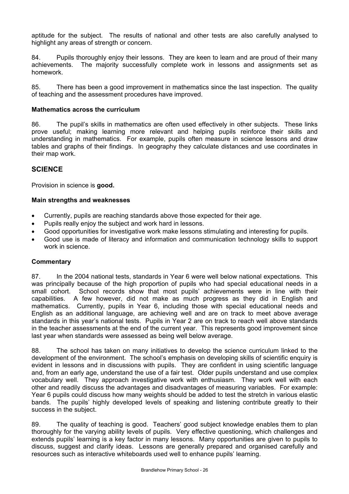aptitude for the subject. The results of national and other tests are also carefully analysed to highlight any areas of strength or concern.

84. Pupils thoroughly enjoy their lessons. They are keen to learn and are proud of their many achievements. The majority successfully complete work in lessons and assignments set as homework.

85. There has been a good improvement in mathematics since the last inspection. The quality of teaching and the assessment procedures have improved.

### **Mathematics across the curriculum**

86. The pupil's skills in mathematics are often used effectively in other subjects. These links prove useful; making learning more relevant and helping pupils reinforce their skills and understanding in mathematics. For example, pupils often measure in science lessons and draw tables and graphs of their findings. In geography they calculate distances and use coordinates in their map work.

### **SCIENCE**

Provision in science is **good.**

### **Main strengths and weaknesses**

- Currently, pupils are reaching standards above those expected for their age.
- Pupils really enjoy the subject and work hard in lessons.
- Good opportunities for investigative work make lessons stimulating and interesting for pupils.
- Good use is made of literacy and information and communication technology skills to support work in science.

### **Commentary**

87. In the 2004 national tests, standards in Year 6 were well below national expectations. This was principally because of the high proportion of pupils who had special educational needs in a small cohort. School records show that most pupils' achievements were in line with their capabilities. A few however, did not make as much progress as they did in English and mathematics. Currently, pupils in Year 6, including those with special educational needs and English as an additional language, are achieving well and are on track to meet above average standards in this year's national tests. Pupils in Year 2 are on track to reach well above standards in the teacher assessments at the end of the current year. This represents good improvement since last year when standards were assessed as being well below average.

88. The school has taken on many initiatives to develop the science curriculum linked to the development of the environment. The school's emphasis on developing skills of scientific enquiry is evident in lessons and in discussions with pupils. They are confident in using scientific language and, from an early age, understand the use of a fair test. Older pupils understand and use complex vocabulary well. They approach investigative work with enthusiasm. They work well with each other and readily discuss the advantages and disadvantages of measuring variables. For example: Year 6 pupils could discuss how many weights should be added to test the stretch in various elastic bands. The pupils' highly developed levels of speaking and listening contribute greatly to their success in the subject.

89. The quality of teaching is good. Teachers' good subject knowledge enables them to plan thoroughly for the varying ability levels of pupils. Very effective questioning, which challenges and extends pupils' learning is a key factor in many lessons. Many opportunities are given to pupils to discuss, suggest and clarify ideas. Lessons are generally prepared and organised carefully and resources such as interactive whiteboards used well to enhance pupils' learning.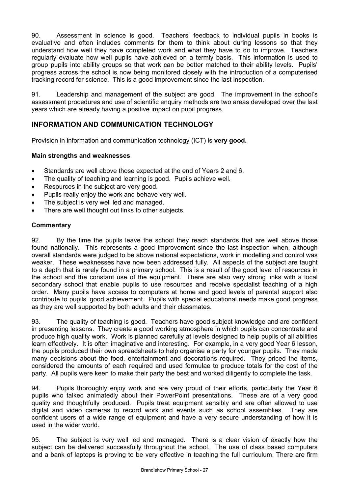90. Assessment in science is good. Teachers' feedback to individual pupils in books is evaluative and often includes comments for them to think about during lessons so that they understand how well they have completed work and what they have to do to improve. Teachers regularly evaluate how well pupils have achieved on a termly basis. This information is used to group pupils into ability groups so that work can be better matched to their ability levels. Pupils' progress across the school is now being monitored closely with the introduction of a computerised tracking record for science. This is a good improvement since the last inspection.

91. Leadership and management of the subject are good. The improvement in the school's assessment procedures and use of scientific enquiry methods are two areas developed over the last years which are already having a positive impact on pupil progress.

# **INFORMATION AND COMMUNICATION TECHNOLOGY**

Provision in information and communication technology (ICT) is **very good.** 

### **Main strengths and weaknesses**

- Standards are well above those expected at the end of Years 2 and 6.
- The quality of teaching and learning is good. Pupils achieve well.
- Resources in the subject are very good.
- Pupils really enjoy the work and behave very well.
- The subject is very well led and managed.
- There are well thought out links to other subjects.

### **Commentary**

92. By the time the pupils leave the school they reach standards that are well above those found nationally. This represents a good improvement since the last inspection when, although overall standards were judged to be above national expectations, work in modelling and control was weaker. These weaknesses have now been addressed fully. All aspects of the subject are taught to a depth that is rarely found in a primary school. This is a result of the good level of resources in the school and the constant use of the equipment. There are also very strong links with a local secondary school that enable pupils to use resources and receive specialist teaching of a high order. Many pupils have access to computers at home and good levels of parental support also contribute to pupils' good achievement. Pupils with special educational needs make good progress as they are well supported by both adults and their classmates.

93. The quality of teaching is good. Teachers have good subject knowledge and are confident in presenting lessons. They create a good working atmosphere in which pupils can concentrate and produce high quality work. Work is planned carefully at levels designed to help pupils of all abilities learn effectively. It is often imaginative and interesting. For example, in a very good Year 6 lesson, the pupils produced their own spreadsheets to help organise a party for younger pupils. They made many decisions about the food, entertainment and decorations required. They priced the items, considered the amounts of each required and used formulae to produce totals for the cost of the party. All pupils were keen to make their party the best and worked diligently to complete the task.

94. Pupils thoroughly enjoy work and are very proud of their efforts, particularly the Year 6 pupils who talked animatedly about their PowerPoint presentations. These are of a very good quality and thoughtfully produced. Pupils treat equipment sensibly and are often allowed to use digital and video cameras to record work and events such as school assemblies. They are confident users of a wide range of equipment and have a very secure understanding of how it is used in the wider world.

95. The subject is very well led and managed. There is a clear vision of exactly how the subject can be delivered successfully throughout the school. The use of class based computers and a bank of laptops is proving to be very effective in teaching the full curriculum. There are firm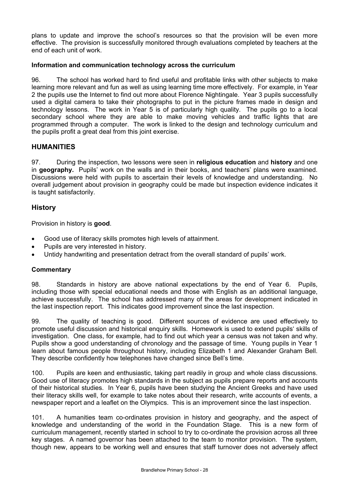plans to update and improve the school's resources so that the provision will be even more effective. The provision is successfully monitored through evaluations completed by teachers at the end of each unit of work.

### **Information and communication technology across the curriculum**

96. The school has worked hard to find useful and profitable links with other subjects to make learning more relevant and fun as well as using learning time more effectively. For example, in Year 2 the pupils use the Internet to find out more about Florence Nightingale. Year 3 pupils successfully used a digital camera to take their photographs to put in the picture frames made in design and technology lessons. The work in Year 5 is of particularly high quality. The pupils go to a local secondary school where they are able to make moving vehicles and traffic lights that are programmed through a computer. The work is linked to the design and technology curriculum and the pupils profit a great deal from this joint exercise.

### **HUMANITIES**

97. During the inspection, two lessons were seen in **religious education** and **history** and one in **geography.** Pupils' work on the walls and in their books, and teachers' plans were examined. Discussions were held with pupils to ascertain their levels of knowledge and understanding. No overall judgement about provision in geography could be made but inspection evidence indicates it is taught satisfactorily.

### **History**

Provision in history is **good**.

- Good use of literacy skills promotes high levels of attainment.
- Pupils are very interested in history.
- Untidy handwriting and presentation detract from the overall standard of pupils' work.

### **Commentary**

98. Standards in history are above national expectations by the end of Year 6. Pupils, including those with special educational needs and those with English as an additional language, achieve successfully. The school has addressed many of the areas for development indicated in the last inspection report. This indicates good improvement since the last inspection.

99. The quality of teaching is good. Different sources of evidence are used effectively to promote useful discussion and historical enquiry skills. Homework is used to extend pupils' skills of investigation. One class, for example, had to find out which year a census was not taken and why. Pupils show a good understanding of chronology and the passage of time. Young pupils in Year 1 learn about famous people throughout history, including Elizabeth 1 and Alexander Graham Bell. They describe confidently how telephones have changed since Bell's time.

100. Pupils are keen and enthusiastic, taking part readily in group and whole class discussions. Good use of literacy promotes high standards in the subject as pupils prepare reports and accounts of their historical studies. In Year 6, pupils have been studying the Ancient Greeks and have used their literacy skills well, for example to take notes about their research, write accounts of events, a newspaper report and a leaflet on the Olympics. This is an improvement since the last inspection.

101. A humanities team co-ordinates provision in history and geography, and the aspect of knowledge and understanding of the world in the Foundation Stage. This is a new form of curriculum management, recently started in school to try to co-ordinate the provision across all three key stages. A named governor has been attached to the team to monitor provision. The system, though new, appears to be working well and ensures that staff turnover does not adversely affect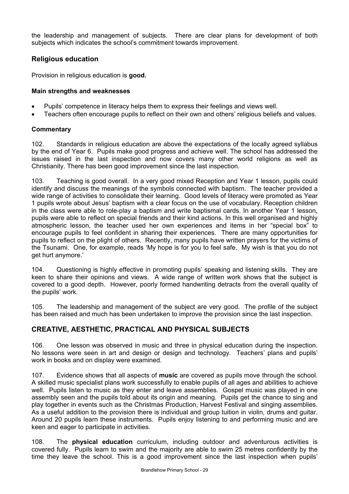the leadership and management of subjects. There are clear plans for development of both subjects which indicates the school's commitment towards improvement.

## **Religious education**

Provision in religious education is **good.**

### **Main strengths and weaknesses**

- Pupils' competence in literacy helps them to express their feelings and views well.
- Teachers often encourage pupils to reflect on their own and others' religious beliefs and values.

### **Commentary**

102. Standards in religious education are above the expectations of the locally agreed syllabus by the end of Year 6. Pupils make good progress and achieve well. The school has addressed the issues raised in the last inspection and now covers many other world religions as well as Christianity. There has been good improvement since the last inspection.

103. Teaching is good overall. In a very good mixed Reception and Year 1 lesson, pupils could identify and discuss the meanings of the symbols connected with baptism. The teacher provided a wide range of activities to consolidate their learning. Good levels of literacy were promoted as Year 1 pupils wrote about Jesus' baptism with a clear focus on the use of vocabulary. Reception children in the class were able to role-play a baptism and write baptismal cards. In another Year 1 lesson, pupils were able to reflect on special friends and their kind actions. In this well organised and highly atmospheric lesson, the teacher used her own experiences and items in her "special box" to encourage pupils to feel confident in sharing their experiences. There are many opportunities for pupils to reflect on the plight of others. Recently, many pupils have written prayers for the victims of the Tsunami. One, for example, reads 'My hope is for you to feel safe. My wish is that you do not get hurt anymore.'

104. Questioning is highly effective in promoting pupils' speaking and listening skills. They are keen to share their opinions and views. A wide range of written work shows that the subject is covered to a good depth. However, poorly formed handwriting detracts from the overall quality of the pupils' work.

105. The leadership and management of the subject are very good. The profile of the subject has been raised and much has been undertaken to improve the provision since the last inspection.

### **CREATIVE, AESTHETIC, PRACTICAL AND PHYSICAL SUBJECTS**

106. One lesson was observed in music and three in physical education during the inspection. No lessons were seen in art and design or design and technology. Teachers' plans and pupils' work in books and on display were examined.

107. Evidence shows that all aspects of **music** are covered as pupils move through the school. A skilled music specialist plans work successfully to enable pupils of all ages and abilities to achieve well. Pupils listen to music as they enter and leave assemblies. Gospel music was played in one assembly seen and the pupils told about its origin and meaning. Pupils get the chance to sing and play together in events such as the Christmas Production, Harvest Festival and singing assemblies. As a useful addition to the provision there is individual and group tuition in violin, drums and guitar. Around 20 pupils learn these instruments. Pupils enjoy listening to and performing music and are keen and eager to participate in activities.

108. The **physical education** curriculum, including outdoor and adventurous activities is covered fully. Pupils learn to swim and the majority are able to swim 25 metres confidently by the time they leave the school. This is a good improvement since the last inspection when pupils'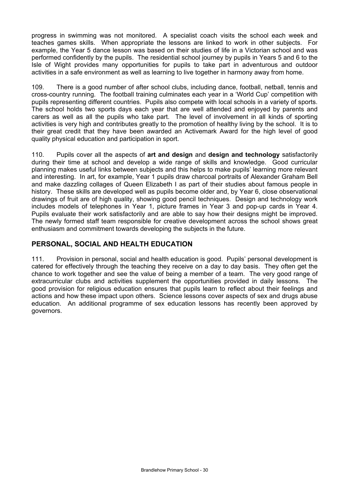progress in swimming was not monitored. A specialist coach visits the school each week and teaches games skills. When appropriate the lessons are linked to work in other subjects. For example, the Year 5 dance lesson was based on their studies of life in a Victorian school and was performed confidently by the pupils. The residential school journey by pupils in Years 5 and 6 to the Isle of Wight provides many opportunities for pupils to take part in adventurous and outdoor activities in a safe environment as well as learning to live together in harmony away from home.

109. There is a good number of after school clubs, including dance, football, netball, tennis and cross-country running. The football training culminates each year in a 'World Cup' competition with pupils representing different countries. Pupils also compete with local schools in a variety of sports. The school holds two sports days each year that are well attended and enjoyed by parents and carers as well as all the pupils who take part. The level of involvement in all kinds of sporting activities is very high and contributes greatly to the promotion of healthy living by the school. It is to their great credit that they have been awarded an Activemark Award for the high level of good quality physical education and participation in sport.

110. Pupils cover all the aspects of **art and design** and **design and technology** satisfactorily during their time at school and develop a wide range of skills and knowledge. Good curricular planning makes useful links between subjects and this helps to make pupils' learning more relevant and interesting. In art, for example, Year 1 pupils draw charcoal portraits of Alexander Graham Bell and make dazzling collages of Queen Elizabeth I as part of their studies about famous people in history. These skills are developed well as pupils become older and, by Year 6, close observational drawings of fruit are of high quality, showing good pencil techniques. Design and technology work includes models of telephones in Year 1, picture frames in Year 3 and pop-up cards in Year 4. Pupils evaluate their work satisfactorily and are able to say how their designs might be improved. The newly formed staff team responsible for creative development across the school shows great enthusiasm and commitment towards developing the subjects in the future.

## **PERSONAL, SOCIAL AND HEALTH EDUCATION**

111. Provision in personal, social and health education is good. Pupils' personal development is catered for effectively through the teaching they receive on a day to day basis. They often get the chance to work together and see the value of being a member of a team. The very good range of extracurricular clubs and activities supplement the opportunities provided in daily lessons. The good provision for religious education ensures that pupils learn to reflect about their feelings and actions and how these impact upon others. Science lessons cover aspects of sex and drugs abuse education. An additional programme of sex education lessons has recently been approved by governors.